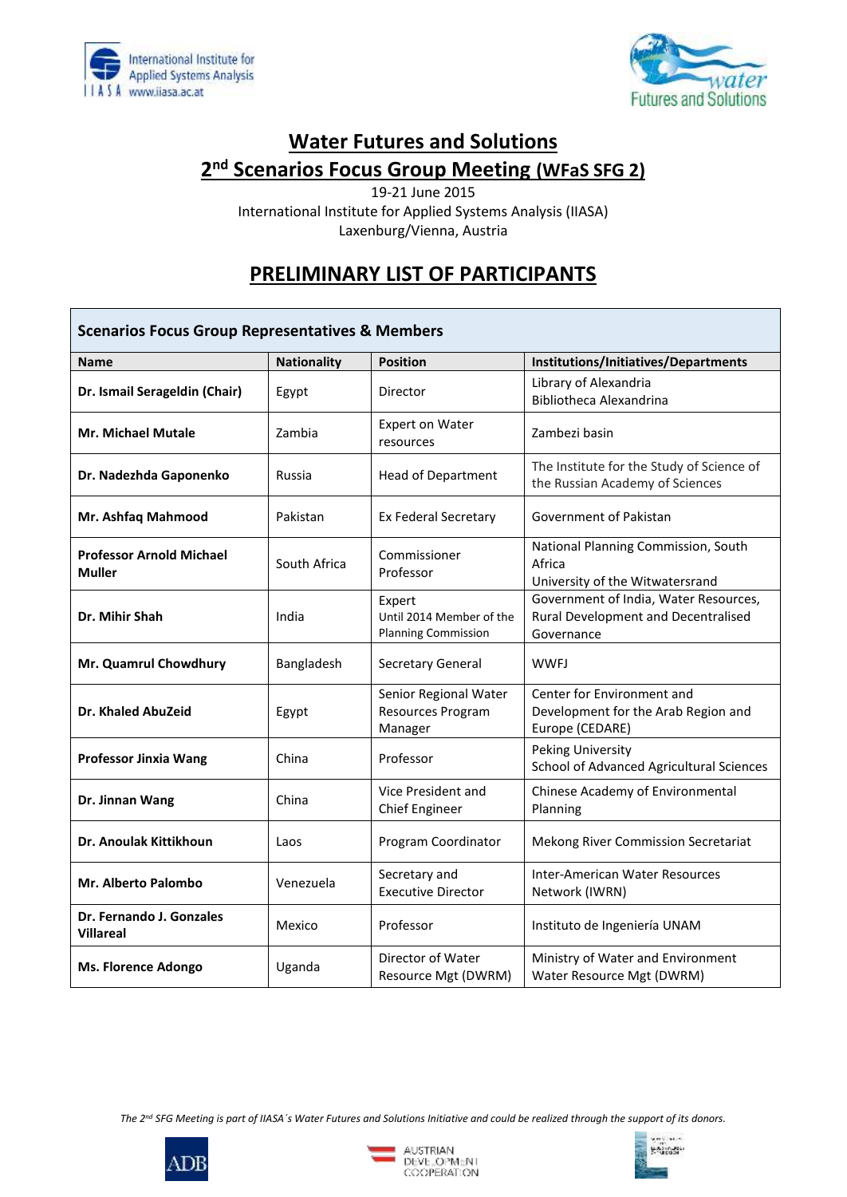



## **Water Futures and Solutions 2 nd Scenarios Focus Group Meeting (WFaS SFG 2)**

19-21 June 2015 International Institute for Applied Systems Analysis (IIASA) Laxenburg/Vienna, Austria

## **PRELIMINARY LIST OF PARTICIPANTS**

| <b>Scenarios Focus Group Representatives &amp; Members</b> |                    |                                                                  |                                                                                            |  |
|------------------------------------------------------------|--------------------|------------------------------------------------------------------|--------------------------------------------------------------------------------------------|--|
| <b>Name</b>                                                | <b>Nationality</b> | <b>Position</b>                                                  | Institutions/Initiatives/Departments                                                       |  |
| Dr. Ismail Serageldin (Chair)                              | Egypt              | Director                                                         | Library of Alexandria<br><b>Bibliotheca Alexandrina</b>                                    |  |
| <b>Mr. Michael Mutale</b>                                  | Zambia             | <b>Expert on Water</b><br>resources                              | Zambezi basin                                                                              |  |
| Dr. Nadezhda Gaponenko                                     | Russia             | <b>Head of Department</b>                                        | The Institute for the Study of Science of<br>the Russian Academy of Sciences               |  |
| Mr. Ashfaq Mahmood                                         | Pakistan           | Ex Federal Secretary                                             | Government of Pakistan                                                                     |  |
| <b>Professor Arnold Michael</b><br><b>Muller</b>           | South Africa       | Commissioner<br>Professor                                        | National Planning Commission, South<br>Africa<br>University of the Witwatersrand           |  |
| Dr. Mihir Shah                                             | India              | Expert<br>Until 2014 Member of the<br><b>Planning Commission</b> | Government of India, Water Resources,<br>Rural Development and Decentralised<br>Governance |  |
| Mr. Quamrul Chowdhury                                      | Bangladesh         | Secretary General                                                | <b>WWFJ</b>                                                                                |  |
| Dr. Khaled AbuZeid                                         | Egypt              | Senior Regional Water<br>Resources Program<br>Manager            | Center for Environment and<br>Development for the Arab Region and<br>Europe (CEDARE)       |  |
| <b>Professor Jinxia Wang</b>                               | China              | Professor                                                        | Peking University<br>School of Advanced Agricultural Sciences                              |  |
| Dr. Jinnan Wang                                            | China              | Vice President and<br><b>Chief Engineer</b>                      | Chinese Academy of Environmental<br>Planning                                               |  |
| Dr. Anoulak Kittikhoun                                     | Laos               | Program Coordinator                                              | Mekong River Commission Secretariat                                                        |  |
| <b>Mr. Alberto Palombo</b>                                 | Venezuela          | Secretary and<br><b>Executive Director</b>                       | <b>Inter-American Water Resources</b><br>Network (IWRN)                                    |  |
| Dr. Fernando J. Gonzales<br><b>Villareal</b>               | Mexico             | Professor                                                        | Instituto de Ingeniería UNAM                                                               |  |
| <b>Ms. Florence Adongo</b>                                 | Uganda             | Director of Water<br>Resource Mgt (DWRM)                         | Ministry of Water and Environment<br>Water Resource Mgt (DWRM)                             |  |

*The 2nd SFG Meeting is part of IIASA´s Water Futures and Solutions Initiative and could be realized through the support of its donors.*